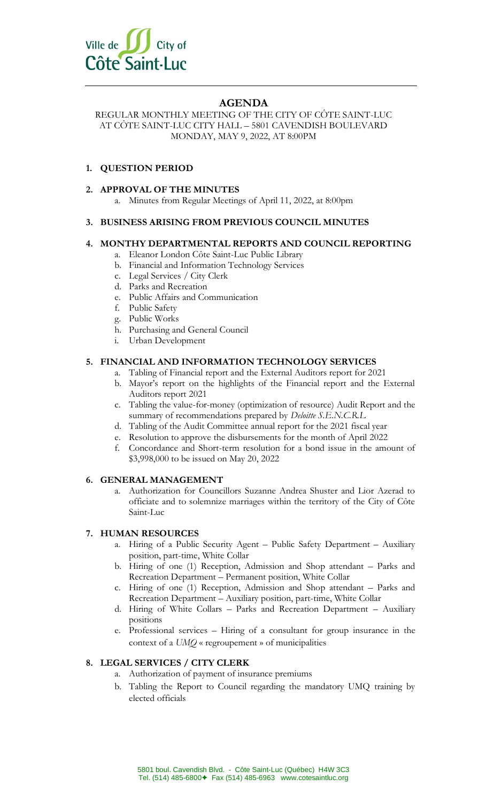

# **AGENDA**

REGULAR MONTHLY MEETING OF THE CITY OF CÔTE SAINT-LUC AT CÔTE SAINT-LUC CITY HALL – 5801 CAVENDISH BOULEVARD MONDAY, MAY 9, 2022, AT 8:00PM

# **1. QUESTION PERIOD**

## **2. APPROVAL OF THE MINUTES**

a. Minutes from Regular Meetings of April 11, 2022, at 8:00pm

## **3. BUSINESS ARISING FROM PREVIOUS COUNCIL MINUTES**

## **4. MONTHY DEPARTMENTAL REPORTS AND COUNCIL REPORTING**

- a. Eleanor London Côte Saint-Luc Public Library
- b. Financial and Information Technology Services
- c. Legal Services / City Clerk
- d. Parks and Recreation
- e. Public Affairs and Communication
- f. Public Safety
- g. Public Works
- h. Purchasing and General Council
- i. Urban Development

## **5. FINANCIAL AND INFORMATION TECHNOLOGY SERVICES**

- a. Tabling of Financial report and the External Auditors report for 2021
- b. Mayor's report on the highlights of the Financial report and the External Auditors report 2021
- c. Tabling the value-for-money (optimization of resource) Audit Report and the summary of recommendations prepared by *Deloitte S.E.N.C.R.L*
- d. Tabling of the Audit Committee annual report for the 2021 fiscal year
- e. Resolution to approve the disbursements for the month of April 2022
- f. Concordance and Short-term resolution for a bond issue in the amount of \$3,998,000 to be issued on May 20, 2022

#### **6. GENERAL MANAGEMENT**

a. Authorization for Councillors Suzanne Andrea Shuster and Lior Azerad to officiate and to solemnize marriages within the territory of the City of Côte Saint-Luc

## **7. HUMAN RESOURCES**

- a. Hiring of a Public Security Agent Public Safety Department Auxiliary position, part-time, White Collar
- b. Hiring of one (1) Reception, Admission and Shop attendant Parks and Recreation Department – Permanent position, White Collar
- c. Hiring of one (1) Reception, Admission and Shop attendant Parks and Recreation Department – Auxiliary position, part-time, White Collar
- d. Hiring of White Collars Parks and Recreation Department Auxiliary positions
- e. Professional services Hiring of a consultant for group insurance in the context of a *UMQ* « regroupement » of municipalities

## **8. LEGAL SERVICES / CITY CLERK**

- a. Authorization of payment of insurance premiums
- b. Tabling the Report to Council regarding the mandatory UMQ training by elected officials